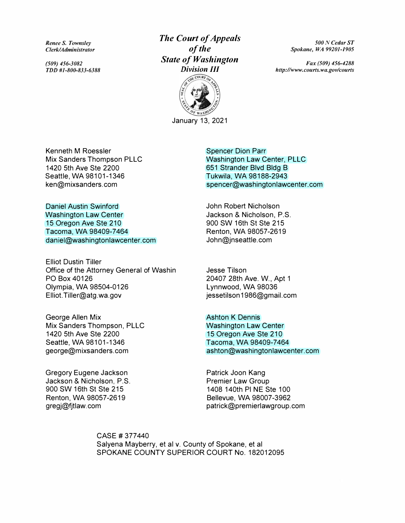*Renee S. Townsley Clerk/Administrator* 

*(509) 456-3082 TDD #1-800-833-6388* 

# *The Court of Appeals of the State of Washington Division III*



January 13, 2021

*500 N Cedar ST Spokane, WA 99201-1905* 

*Fax (509) 456-4288 http://www.courts.wa.gov/courts* 

Kenneth M Roessler Mix Sanders Thompson PLLC 1420 5th Ave Ste 2200 Seattle, WA 98101-1346 ken@mixsanders.com

Daniel Austin Swinford Washington Law Center 15 Oregon Ave Ste 210 Tacoma, WA 98409-7464 daniel@washingtonlawcenter.com

Elliot Dustin Tiller Office of the Attorney General of Washin PO Box 40126 Olympia, WA 98504-0126 Elliot.Tiller@atg.wa.gov

George Allen Mix Mix Sanders Thompson, PLLC 1420 5th Ave Ste 2200 Seattle, WA 98101-1346 george@mixsanders.com

Gregory Eugene Jackson Jackson & Nicholson, P.S. 900 SW 16th St Ste 215 Renton, WA 98057-2619 gregj@fjtlaw.com

Spencer Dion Parr Washington Law Center, PLLC 651 Strander Blvd Bldg B Tukwila, WA 98188-2943 spencer@washingtonlawcenter.com

John Robert Nicholson Jackson & Nicholson, P.S. 900 SW 16th St Ste 215 Renton, WA 98057-2619 John@jnseattle.com

Jesse Tilson 20407 28th Ave. W., Apt 1 Lynnwood, WA 98036 jessetilson1986@gmail.com

Ashton K Dennis Washington Law Center 15 Oregon Ave Ste 210 Tacoma, WA 98409-7464 ashton@washingtonlawcenter.com

Patrick Joon Kang Premier Law Group 1408 140th Pl NE Ste 100 Bellevue, WA 98007-3962 patrick@premierlawgroup.com

CASE # 377 440 Salyena Mayberry, et al v. County of Spokane, et al SPOKANE COUNTY SUPERIOR COURT No. 182012095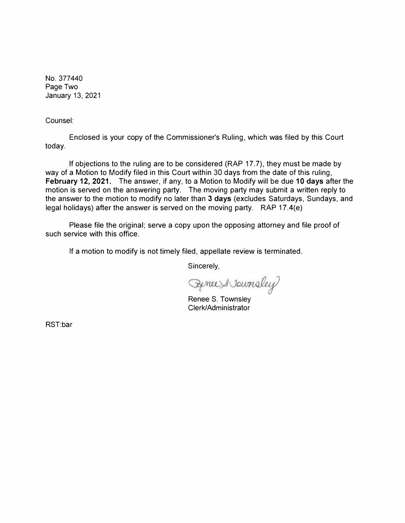No. 377440 Page Two January 13, 2021

Counsel:

Enclosed is your copy of the Commissioner's Ruling, which was filed by this Court today.

If objections to the ruling are to be considered (RAP 17. 7), they must be made by way of a Motion to Modify filed in this Court within 30 days from the date of this ruling, **February 12, 2021.** The answer, if any, to a Motion to Modify will be due **10 days** after the motion is served on the answering party. The moving party may submit a written reply to the answer to the motion to modify no later than **3 days** (excludes Saturdays, Sundays, and legal holidays) after the answer is served on the moving party. RAP 17.4(e)

Please file the original; serve a copy upon the opposing attorney and file proof of such service with this office.

If a motion to modify is not timely filed, appellate review is terminated.

Sincerely,

Synce & Journaley

Renee S. Townsley Clerk/Administrator

RST:bar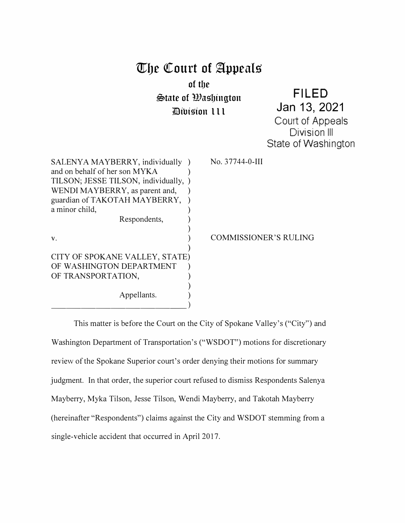# **mbc QCourt of �ppcals of tbe \$>late of Wagbington 71Bibigion 111**

**FILED**  Jan **13, 2021**  Court of Appeals Division Ill State of Washington

SALENYA MAYBERRY, individually ) and on behalf of her son MYKA ) TILSON; JESSE TILSON, individually, ) WENDI MAYBERRY, as parent and, guardian of TAKOTAH MAYBERRY, ) a minor child, Respondents, ) ) No. 37744-0-III v. **(a)**  $\sim$  **COMMISSIONER'S RULING** ) CITY OF SPOKANE VALLEY, STATE) OF WASHINGTON DEPARTMENT OF TRANSPORTATION, ) Appellants. ) \_\_\_\_\_\_\_\_\_ )

This matter is before the Court on the City of Spokane Valley's ("City") and Washington Department of Transportation's ("WSDOT") motions for discretionary review of the Spokane Superior court's order denying their motions for summary judgment. In that order, the superior court refused to dismiss Respondents Salenya Mayberry, Myka Tilson, Jesse Tilson, Wendi Mayberry, and Takotah Mayberry (hereinafter "Respondents") claims against the City and WSDOT stemming from a single-vehicle accident that occurred in April 2017.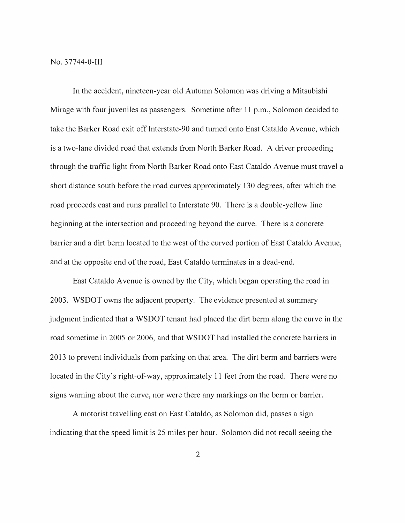In the accident, nineteen-year old Autumn Solomon was driving a Mitsubishi Mirage with four juveniles as passengers. Sometime after 11 p.m., Solomon decided to take the Barker Road exit off Interstate-90 and turned onto East Cataldo Avenue, which is a two-lane divided road that extends from North Barker Road. A driver proceeding through the traffic light from North Barker Road onto East Cataldo A venue must travel a short distance south before the road curves approximately 130 degrees, after which the road proceeds east and runs parallel to Interstate 90. There is a double-yellow line beginning at the intersection and proceeding beyond the curve. There is a concrete barrier and a dirt berm located to the west of the curved portion of East Cataldo Avenue, and at the opposite end of the road, East Cataldo terminates in a dead-end.

East Cataldo A venue is owned by the City, which began operating the road in 2003. WSDOT owns the adjacent property. The evidence presented at summary judgment indicated that a WSDOT tenant had placed the dirt berm along the curve in the road sometime in 2005 or 2006, and that WSDOT had installed the concrete barriers in 2013 to prevent individuals from parking on that area. The dirt berm and barriers were located in the City's right-of-way, approximately 11 feet from the road. There were no signs warning about the curve, nor were there any markings on the berm or barrier.

A motorist travelling east on East Cataldo, as Solomon did, passes a sign indicating that the speed limit is 25 miles per hour. Solomon did not recall seeing the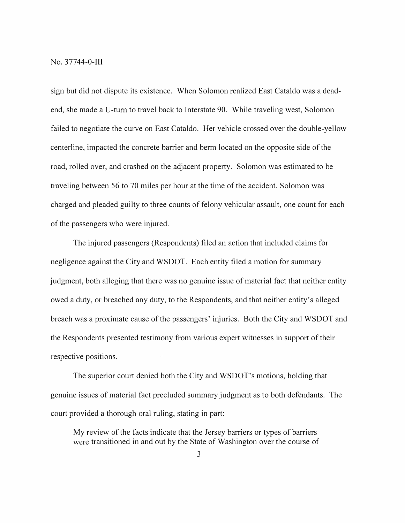No. 37744-0-111

sign but did not dispute its existence. When Solomon realized East Cataldo was a deadend, she made a U-turn to travel back to Interstate 90. While traveling west, Solomon failed to negotiate the curve on East Cataldo. Her vehicle crossed over the double-yellow centerline, impacted the concrete barrier and berm located on the opposite side of the road, rolled over, and crashed on the adjacent property. Solomon was estimated to be traveling between 56 to 70 miles per hour at the time of the accident. Solomon was charged and pleaded guilty to three counts of felony vehicular assault, one count for each of the passengers who were injured.

The injured passengers (Respondents) filed an action that included claims for negligence against the City and WSDOT. Each entity filed a motion for summary judgment, both alleging that there was no genuine issue of material fact that neither entity owed a duty, or breached any duty, to the Respondents, and that neither entity's alleged breach was a proximate cause of the passengers' injuries. Both the City and WSDOT and the Respondents presented testimony from various expert witnesses in support of their respective positions.

The superior court denied both the City and WSDOT's motions, holding that genuine issues of material fact precluded summary judgment as to both defendants. The court provided a thorough oral ruling, stating in part:

My review of the facts indicate that the Jersey barriers or types of barriers were transitioned in and out by the State of Washington over the course of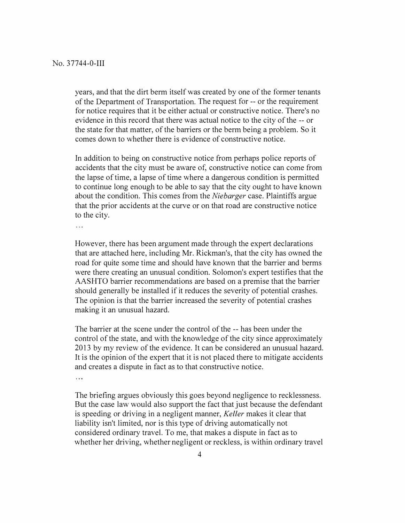years, and that the dirt berm itself was created by one of the former tenants of the Department of Transportation. The request for -- or the requirement for notice requires that it be either actual or constructive notice. There's no evidence in this record that there was actual notice to the city of the -- or the state for that matter, of the barriers or the berm being a problem. So it comes down to whether there is evidence of constructive notice.

In addition to being on constructive notice from perhaps police reports of accidents that the city must be aware of, constructive notice can come from the lapse of time, a lapse of time where a dangerous condition is permitted to continue long enough to be able to say that the city ought to have known about the condition. This comes from the *Niebarger* case. Plaintiffs argue that the prior accidents at the curve or on that road are constructive notice to the city.

.<br>Grafs

However, there has been argument made through the expert declarations that are attached here, including Mr. Rickman's, that the city has owned the road for quite some time and should have known that the barrier and berms were there creating an unusual condition. Solomon's expert testifies that the AASHTO barrier recommendations are based on a premise that the barrier should generally be installed if it reduces the severity of potential crashes. The opinion is that the barrier increased the severity of potential crashes making it an unusual hazard.

The barrier at the scene under the control of the -- has been under the control of the state, and with the knowledge of the city since approximately 2013 by my review of the evidence. It can be considered an unusual hazard. It is the opinion of the expert that it is not placed there to mitigate accidents and creates a dispute in fact as to that constructive notice.  $\cdots$ 

The briefing argues obviously this goes beyond negligence to recklessness. But the case law would also support the fact that just because the defendant is speeding or driving in a negligent manner, *Keller* makes it clear that liability isn't limited, nor is this type of driving automatically not considered ordinary travel. To me, that makes a dispute in fact as to whether her driving, whether negligent or reckless, is within ordinary travel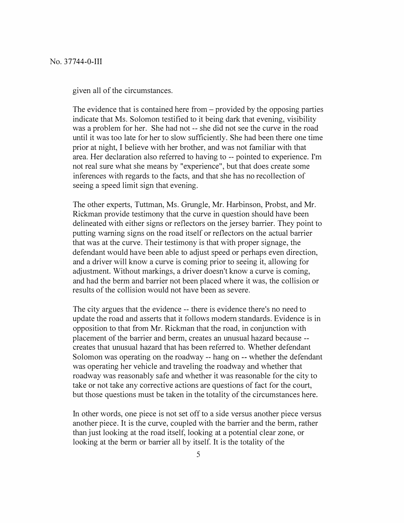given all of the circumstances.

The evidence that is contained here from  $-$  provided by the opposing parties indicate that Ms. Solomon testified to it being dark that evening, visibility was a problem for her. She had not -- she did not see the curve in the road until it was too late for her to slow sufficiently. She had been there one time prior at night, I believe with her brother, and was not familiar with that area. Her declaration also referred to having to -- pointed to experience. I'm not real sure what she means by "experience", but that does create some inferences with regards to the facts, and that she has no recollection of seeing a speed limit sign that evening.

The other experts, Tuttman, Ms. Grungle, Mr. Harbinson, Probst, and Mr. Rickman provide testimony that the curve in question should have been delineated with either signs or reflectors on the jersey barrier. They point to putting warning signs on the road itself or reflectors on the actual barrier that was at the curve. Their testimony is that with proper signage, the defendant would have been able to adjust speed or perhaps even direction, and a driver will know a curve is coming prior to seeing it, allowing for adjustment. Without markings, a driver doesn't know a curve is coming, and had the berm and barrier not been placed where it was, the collision or results of the collision would not have been as severe.

The city argues that the evidence -- there is evidence there's no need to update the road and asserts that it follows modem standards. Evidence is in opposition to that from Mr. Rickman that the road, in conjunction with placement of the barrier and berm, creates an unusual hazard because creates that unusual hazard that has been referred to. Whether defendant Solomon was operating on the roadway -- hang on -- whether the defendant was operating her vehicle and traveling the roadway and whether that roadway was reasonably safe and whether it was reasonable for the city to take or not take any corrective actions are questions of fact for the court, but those questions must be taken in the totality of the circumstances here.

In other words, one piece is not set off to a side versus another piece versus another piece. It is the curve, coupled with the barrier and the berm, rather than just looking at the road itself, looking at a potential clear zone, or looking at the berm or barrier all by itself. It is the totality of the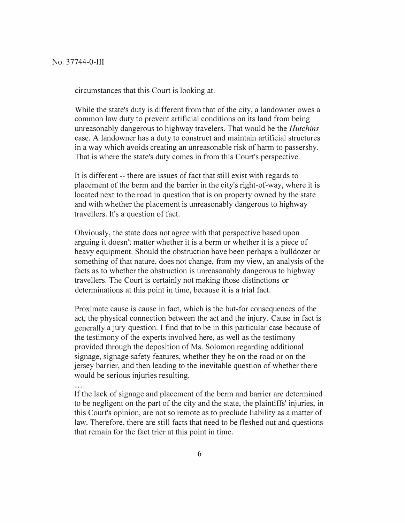circumstances that this Court is looking at.

While the state's duty is different from that of the city, a landowner owes a common law duty to prevent artificial conditions on its land from being unreasonably dangerous to highway travelers. That would be the *Hutchins*  case. A landowner has a duty to construct and maintain artificial structures in a way which avoids creating an unreasonable risk of harm to passersby. That is where the state's duty comes in from this Court's perspective.

It is different -- there are issues of fact that still exist with regards to placement of the berm and the barrier in the city's right-of-way, where it is located next to the road in question that is on property owned by the state and with whether the placement is unreasonably dangerous to highway travellers. It's a question of fact.

Obviously, the state does not agree with that perspective based upon arguing it doesn't matter whether it is a berm or whether it is a piece of heavy equipment. Should the obstruction have been perhaps a bulldozer or something of that nature, does not change, from my view, an analysis of the facts as to whether the obstruction is unreasonably dangerous to highway travellers. The Court is certainly not making those distinctions or determinations at this point in time, because it is a trial fact.

Proximate cause is cause in fact, which is the but-for consequences of the act, the physical connection between the act and the injury. Cause in fact is generally a jury question. I find that to be in this particular case because of the testimony of the experts involved here, as well as the testimony provided through the deposition of Ms. Solomon regarding additional signage, signage safety features, whether they be on the road or on the jersey barrier, and then leading to the inevitable question of whether there would be serious injuries resulting.

If the lack of signage and placement of the berm and barrier are determined to be negligent on the part of the city and the state, the plaintiffs' injuries, in this Court's opinion, are not so remote as to preclude liability as a matter of law. Therefore, there are still facts that need to be fleshed out and questions that remain for the fact trier at this point in time.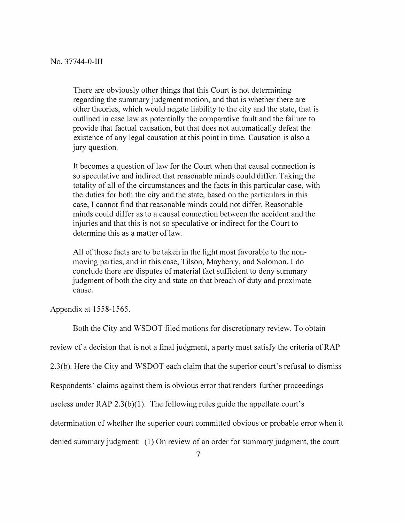There are obviously other things that this Court is not determining regarding the summary judgment motion, and that is whether there are other theories, which would negate liability to the city and the state, that is outlined in case law as potentially the comparative fault and the failure to provide that factual causation, but that does not automatically defeat the existence of any legal causation at this point in time. Causation is also a jury question.

It becomes a question of law for the Court when that causal connection is so speculative and indirect that reasonable minds could differ. Taking the totality of all of the circumstances and the facts in this particular case, with the duties for both the city and the state, based on the particulars in this case, I cannot find that reasonable minds could not differ. Reasonable minds could differ as to a causal connection between the accident and the injuries and that this is not so speculative or indirect for the Court to determine this as a matter of law.

All of those facts are to be taken in the light most favorable to the nonmoving parties, and in this case, Tilson, Mayberry, and Solomon. I do conclude there are disputes of material fact sufficient to deny summary judgment of both the city and state on that breach of duty and proximate cause.

Appendix at 1558-1565.

Both the City and WSDOT filed motions for discretionary review. To obtain review of a decision that is not a final judgment, a party must satisfy the criteria of RAP 2.3(b). Here the City and WSDOT each claim that the superior court's refusal to dismiss Respondents' claims against them is obvious error that renders further proceedings useless under RAP  $2.3(b)(1)$ . The following rules guide the appellate court's determination of whether the superior court committed obvious or probable error when it denied summary judgment: (1) On review of an order for summary judgment, the court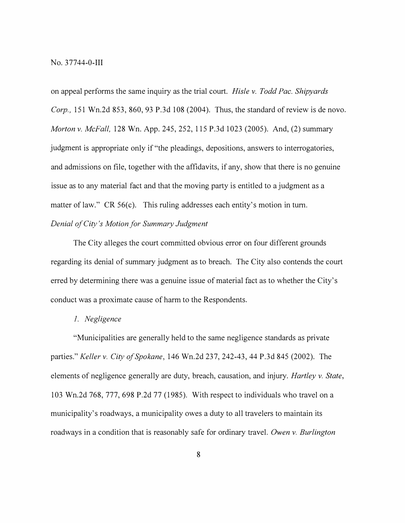on appeal performs the same inquiry as the trial court. *Hisle v. Todd Pac. Shipyards Corp.,* 151 Wn.2d 853, 860, 93 P.3d 108 (2004). Thus, the standard of review is de novo. *Morton v. McFall,* 128 Wn. App. 245, 252, 115 P.3d 1023 (2005). And, (2) summary judgment is appropriate only if "the pleadings, depositions, answers to interrogatories, and admissions on file, together with the affidavits, if any, show that there is no genuine issue as to any material fact and that the moving party is entitled to a judgment as a matter of law." CR 56(c). This ruling addresses each entity's motion in turn. *Denial of City's Motion for Summary Judgment* 

The City alleges the court committed obvious error on four different grounds regarding its denial of summary judgment as to breach. The City also contends the court erred by determining there was a genuine issue of material fact as to whether the City's conduct was a proximate cause of harm to the Respondents.

#### *I. Negligence*

"Municipalities are generally held to the same negligence standards as private parties." *Keller v. City of Spokane,* 146 Wn.2d 237, 242-43, 44 P.3d 845 (2002). The elements of negligence generally are duty, breach, causation, and injury. *Hartley v. State,*  103 Wn.2d 768, 777, 698 P.2d 77 (1985). With respect to individuals who travel on a municipality's roadways, a municipality owes a duty to all travelers to maintain its roadways in a condition that is reasonably safe for ordinary travel. *Owen v. Burlington*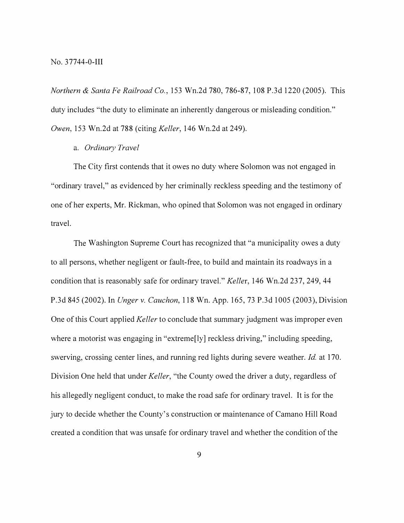*Northern & Santa Fe Railroad Co.,* 153 Wn.2d 780, 786-87, 108 P.3d 1220 (2005). This duty includes "the duty to eliminate an inherently dangerous or misleading condition." *Owen,* 153 Wn.2d at 788 (citing *Keller,* 146 Wn.2d at 249).

#### a. *Ordinary Travel*

The City first contends that it owes no duty where Solomon was not engaged in "ordinary travel," as evidenced by her criminally reckless speeding and the testimony of one of her experts, Mr. Rickman, who opined that Solomon was not engaged in ordinary travel.

The Washington Supreme Court has recognized that "a municipality owes a duty to all persons, whether negligent or fault-free, to build and maintain its roadways in a condition that is reasonably safe for ordinary travel." *Keller,* 146 Wn.2d 237, 249, 44 P.3d 845 (2002). In *Unger v. Cauchon,* 118 Wn. App. 165, 73 P.3d 1005 (2003), Division One of this Court applied *Keller* to conclude that summary judgment was improper even where a motorist was engaging in "extreme<sup>[ly]</sup> reckless driving," including speeding, swerving, crossing center lines, and running red lights during severe weather. *Id.* at 170. Division One held that under *Keller,* "the County owed the driver a duty, regardless of his allegedly negligent conduct, to make the road safe for ordinary travel. It is for the jury to decide whether the County's construction or maintenance of Camano Hill Road created a condition that was unsafe for ordinary travel and whether the condition of the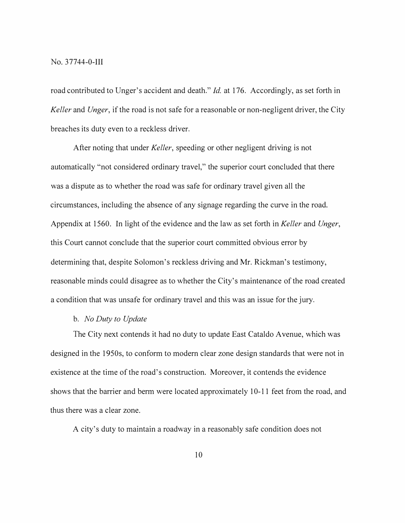#### No. 37744-0-111

road contributed to Unger's accident and death." *Id.* at 176. Accordingly, as set forth in *Keller* and *Unger,* if the road is not safe for a reasonable or non-negligent driver, the City breaches its duty even to a reckless driver.

After noting that under *Keller,* speeding or other negligent driving is not automatically "not considered ordinary travel," the superior court concluded that there was a dispute as to whether the road was safe for ordinary travel given all the circumstances, including the absence of any signage regarding the curve in the road. Appendix at 1560. In light of the evidence and the law as set forth in *Keller* and *Unger,*  this Court cannot conclude that the superior court committed obvious error by determining that, despite Solomon's reckless driving and Mr. Rickman's testimony, reasonable minds could disagree as to whether the City's maintenance of the road created a condition that was unsafe for ordinary travel and this was an issue for the jury.

## b. *No Duty to Update*

The City next contends it had no duty to update East Cataldo A venue, which was designed in the 1950s, to conform to modern clear zone design standards that were not in existence at the time of the road's construction. Moreover, it contends the evidence shows that the barrier and berm were located approximately 10-11 feet from the road, and thus there was a clear zone.

A city's duty to maintain a roadway in a reasonably safe condition does not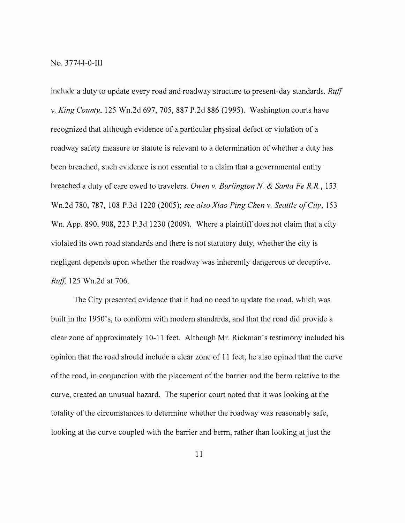include a duty to update every road and roadway structure to present-day standards. *Ruff v. King County,* 125 Wn.2d 697, 705, 887 P.2d 886 (1995). Washington courts have recognized that although evidence of a particular physical defect or violation of a roadway safety measure or statute is relevant to a determination of whether a duty has been breached, such evidence is not essential to a claim that a governmental entity breached a duty of care owed to travelers. *Owen v. Burlington N. & Santa Fe R.R.,* 153 Wn.2d 780, 787, 108 P.3d 1220 (2005); *see also Xiao Ping Chen v. Seattle of City,* 153 Wn. App. 890, 908, 223 P.3d 1230 (2009). Where a plaintiff does not claim that a city violated its own road standards and there is not statutory duty, whether the city is negligent depends upon whether the roadway was inherently dangerous or deceptive. *Ruff,* 125 Wn.2d at 706.

The City presented evidence that it had no need to update the road, which was built in the 1950's, to conform with modern standards, and that the road did provide a clear zone of approximately 10-11 feet. Although Mr. Rickman's testimony included his opinion that the road should include a clear zone of 11 feet, he also opined that the curve of the road, in conjunction with the placement of the barrier and the berm relative to the curve, created an unusual hazard. The superior court noted that it was looking at the totality of the circumstances to determine whether the roadway was reasonably safe, looking at the curve coupled with the barrier and berm, rather than looking at just the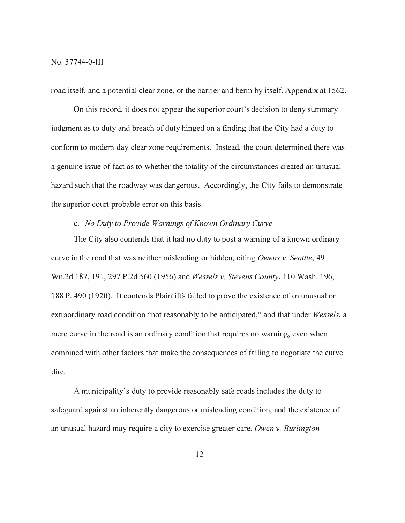road itself, and a potential clear zone, or the barrier and berm by itself. Appendix at 1562.

On this record, it does not appear the superior court's decision to deny summary judgment as to duty and breach of duty hinged on a finding that the City had a duty to conform to modem day clear zone requirements. Instead, the court determined there was a genuine issue of fact as to whether the totality of the circumstances created an unusual hazard such that the roadway was dangerous. Accordingly, the City fails to demonstrate the superior court probable error on this basis.

# c. *No Duty to Provide Warnings of Known Ordinary Curve*

The City also contends that it had no duty to post a warning of a known ordinary curve in the road that was neither misleading or hidden, citing *Owens v. Seattle,* 49 Wn.2d 187,191,297 P.2d 560 (1956) and *Wessels v. Stevens County,* 110 Wash. 196, 188 P. 490 (1920). It contends Plaintiffs failed to prove the existence of an unusual or extraordinary road condition "not reasonably to be anticipated," and that under *Wessels,* a mere curve in the road is an ordinary condition that requires no warning, even when combined with other factors that make the consequences of failing to negotiate the curve dire.

A municipality's duty to provide reasonably safe roads includes the duty to safeguard against an inherently dangerous or misleading condition, and the existence of an unusual hazard may require a city to exercise greater care. *Owen v. Burlington*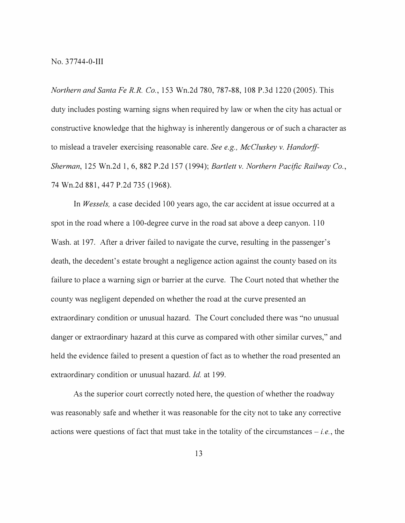*Northern and Santa Fe R.R. Co.,* 153 Wn.2d 780, 787-88, 108 P.3d 1220 (2005). This duty includes posting warning signs when required by law or when the city has actual or constructive knowledge that the highway is inherently dangerous or of such a character as to mislead a traveler exercising reasonable care. *See e.g., McCluskey v. Handorff-Sherman,* 125 Wn.2d 1, 6, 882 P.2d 157 (1994); *Bartlett v. Northern Pacific Railway Co.,*  74 Wn.2d 881,447 P.2d 735 (1968).

In *Wessels,* a case decided 100 years ago, the car accident at issue occurred at a spot in the road where a 100-degree curve in the road sat above a deep canyon. 110 Wash. at 197. After a driver failed to navigate the curve, resulting in the passenger's death, the decedent's estate brought a negligence action against the county based on its failure to place a warning sign or barrier at the curve. The Court noted that whether the county was negligent depended on whether the road at the curve presented an extraordinary condition or unusual hazard. The Court concluded there was "no unusual danger or extraordinary hazard at this curve as compared with other similar curves," and held the evidence failed to present a question of fact as to whether the road presented an extraordinary condition or unusual hazard. *Id.* at 199.

As the superior court correctly noted here, the question of whether the roadway was reasonably safe and whether it was reasonable for the city not to take any corrective actions were questions of fact that must take in the totality of the circumstances  $-i.e.,$  the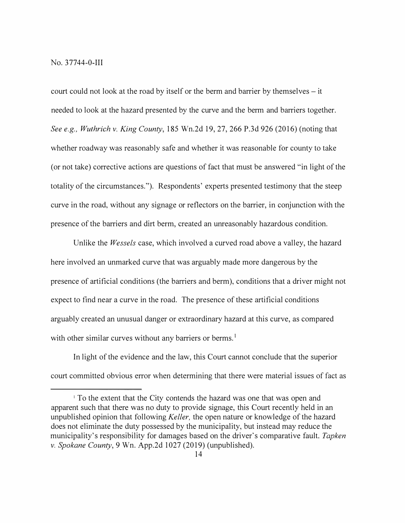court could not look at the road by itself or the berm and barrier by themselves – it needed to look at the hazard presented by the curve and the berm and barriers together. *See e.g., Wuthrich v. King County,* 185 Wn.2d 19, 27, 266 P.3d 926 (2016) (noting that whether roadway was reasonably safe and whether it was reasonable for county to take ( or not take) corrective actions are questions of fact that must be answered "in light of the totality of the circumstances."). Respondents' experts presented testimony that the steep curve in the road, without any signage or reflectors on the barrier, in conjunction with the presence of the barriers and dirt berm, created an unreasonably hazardous condition.

Unlike the *Wessels* case, which involved a curved road above a valley, the hazard here involved an unmarked curve that was arguably made more dangerous by the presence of artificial conditions (the barriers and berm), conditions that a driver might not expect to find near a curve in the road. The presence of these artificial conditions arguably created an unusual danger or extraordinary hazard at this curve, as compared with other similar curves without any barriers or berms.<sup>1</sup>

In light of the evidence and the law, this Court cannot conclude that the superior court committed obvious error when determining that there were material issues of fact as

<sup>&</sup>lt;sup>1</sup> To the extent that the City contends the hazard was one that was open and apparent such that there was no duty to provide signage, this Court recently held in an unpublished opinion that following *Keller,* the open nature or knowledge of the hazard does not eliminate the duty possessed by the municipality, but instead may reduce the municipality's responsibility for damages based on the driver's comparative fault. *Tapken v. Spokane County,* 9 Wn. App.2d 1027 (2019) (unpublished).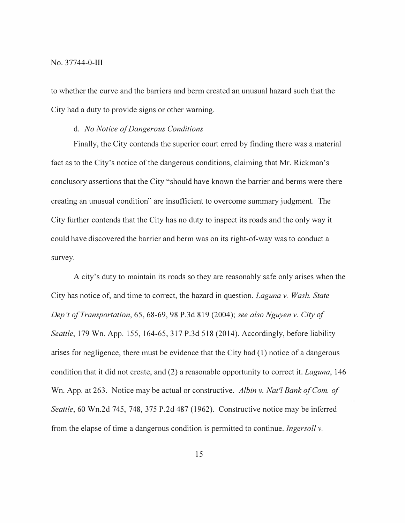#### No. 37744-0-111

to whether the curve and the barriers and berm created an unusual hazard such that the City had a duty to provide signs or other warning.

## d. *No Notice of Dangerous Conditions*

Finally, the City contends the superior court erred by finding there was a material fact as to the City's notice of the dangerous conditions, claiming that Mr. Rickman's conclusory assertions that the City "should have known the barrier and berms were there creating an unusual condition" are insufficient to overcome summary judgment. The City further contends that the City has no duty to inspect its roads and the only way it could have discovered the barrier and berm was on its right-of-way was to conduct a survey.

A city's duty to maintain its roads so they are reasonably safe only arises when the City has notice of, and time to correct, the hazard in question. *Laguna v. Wash. State Dep 't of Transportation,* 65, 68-69, 98 P .3d 819 (2004 ); *see also Nguyen v. City of Seattle,* 179 Wn. App. 155, 164-65, 317 P.3d 518 (2014). Accordingly, before liability arises for negligence, there must be evidence that the City had (1) notice of a dangerous condition that it did not create, and (2) a reasonable opportunity to correct it. *Laguna,* 146 Wn. App. at 263. Notice may be actual or constructive. *Albin* v. *Nat'l Bank of Com. of Seattle,* 60 Wn.2d 745, 748, 375 P.2d 487 (1962). Constructive notice may be inferred from the elapse of time a dangerous condition is permitted to continue. *Ingersoll v.*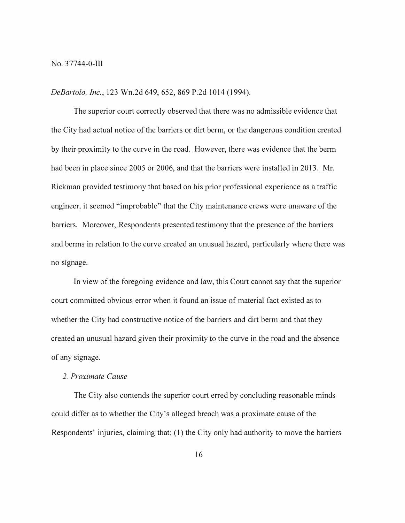*DeBartolo, Inc.,* 123 Wn.2d 649,652,869 P.2d 1014 (1994).

The superior court correctly observed that there was no admissible evidence that the City had actual notice of the barriers or dirt berm, or the dangerous condition created by their proximity to the curve in the road. However, there was evidence that the berm had been in place since 2005 or 2006, and that the barriers were installed in 2013. Mr. Rickman provided testimony that based on his prior professional experience as a traffic engineer, it seemed "improbable" that the City maintenance crews were unaware of the barriers. Moreover, Respondents presented testimony that the presence of the barriers and berms in relation to the curve created an unusual hazard, particularly where there was no signage.

In view of the foregoing evidence and law, this Court cannot say that the superior court committed obvious error when it found an issue of material fact existed as to whether the City had constructive notice of the barriers and dirt berm and that they created an unusual hazard given their proximity to the curve in the road and the absence of any signage.

# *2. Proximate Cause*

The City also contends the superior court erred by concluding reasonable minds could differ as to whether the City's alleged breach was a proximate cause of the Respondents' injuries, claiming that: (1) the City only had authority to move the barriers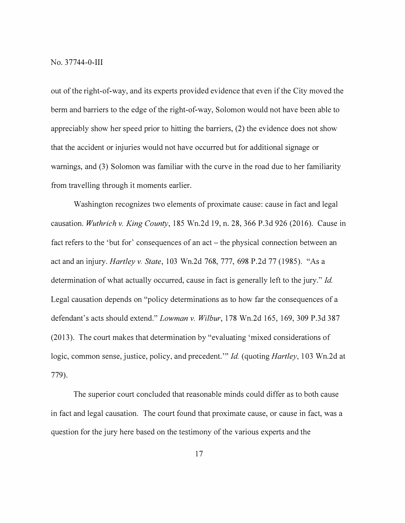out of the right-of-way, and its experts provided evidence that even if the City moved the berm and barriers to the edge of the right-of-way, Solomon would not have been able to appreciably show her speed prior to hitting the barriers, (2) the evidence does not show that the accident or injuries would not have occurred but for additional signage or warnings, and (3) Solomon was familiar with the curve in the road due to her familiarity from travelling through it moments earlier.

Washington recognizes two elements of proximate cause: cause in fact and legal causation. *Wuthrich v. King County,* 185 Wn.2d 19, n. 28,366 P.3d 926 (2016). Cause in fact refers to the 'but for' consequences of an act – the physical connection between an act and an injury. *Hartley v. State,* 103 Wn.2d 768, 777, 698 P.2d 77 (1985). "As a determination of what actually occurred, cause in fact is generally left to the jury." *Id.*  Legal causation depends on "policy determinations as to how far the consequences of a defendant's acts should extend." *Lowman v. Wilbur,* 178 Wn.2d 165, 169, 309 P.3d 387  $(2013)$ . The court makes that determination by "evaluating 'mixed considerations of logic, common sense, justice, policy, and precedent."' *Id.* (quoting *Hartley,* 103 Wn.2d at 779).

The superior court concluded that reasonable minds could differ as to both cause in fact and legal causation. The court found that proximate cause, or cause in fact, was a question for the jury here based on the testimony of the various experts and the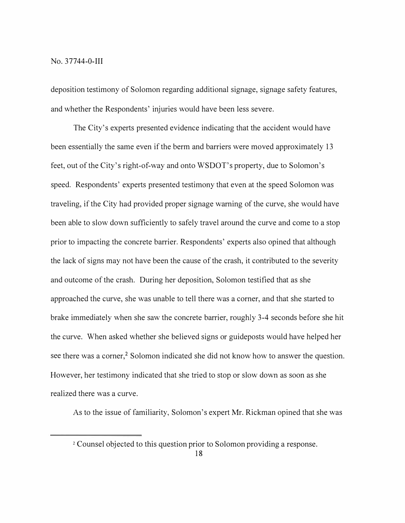deposition testimony of Solomon regarding additional signage, signage safety features, and whether the Respondents' injuries would have been less severe.

The City's experts presented evidence indicating that the accident would have been essentially the same even if the berm and barriers were moved approximately 13 feet, out of the City's right-of-way and onto WSDOT's property, due to Solomon's speed. Respondents' experts presented testimony that even at the speed Solomon was traveling, if the City had provided proper signage warning of the curve, she would have been able to slow down sufficiently to safely travel around the curve and come to a stop prior to impacting the concrete barrier. Respondents' experts also opined that although the lack of signs may not have been the cause of the crash, it contributed to the severity and outcome of the crash. During her deposition, Solomon testified that as she approached the curve, she was unable to tell there was a corner, and that she started to brake immediately when she saw the concrete barrier, roughly 3-4 seconds before she hit the curve. When asked whether she believed signs or guideposts would have helped her see there was a corner,<sup>2</sup> Solomon indicated she did not know how to answer the question. However, her testimony indicated that she tried to stop or slow down as soon as she realized there was a curve.

As to the issue of familiarity, Solomon's expert Mr. Rickman opined that she was

**<sup>2</sup>**Counsel objected to this question prior to Solomon providing a response.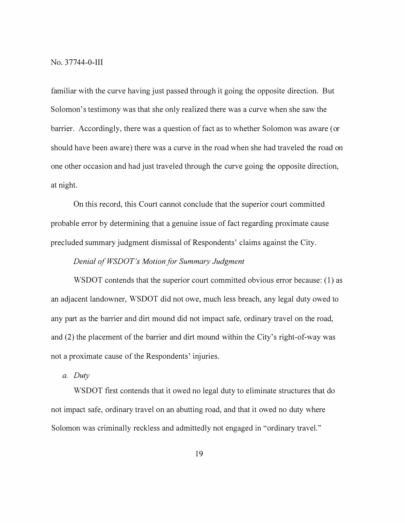familiar with the curve having just passed through it going the opposite direction. But Solomon's testimony was that she only realized there was a curve when she saw the barrier. Accordingly, there was a question of fact as to whether Solomon was aware ( or should have been aware) there was a curve in the road when she had traveled the road on one other occasion and had just traveled through the curve going the opposite direction, at night.

On this record, this Court cannot conclude that the superior court committed probable error by determining that a genuine issue of fact regarding proximate cause precluded summary judgment dismissal of Respondents' claims against the City.

# *Denial of WSDOT's Motion for Summary Judgment*

WSDOT contends that the superior court committed obvious error because: (1) as an adjacent landowner, WSDOT did not owe, much less breach, any legal duty owed to any part as the barrier and dirt mound did not impact safe, ordinary travel on the road, and (2) the placement of the barrier and dirt mound within the City's right-of-way was not a proximate cause of the Respondents' injuries.

#### *a. Duty*

WSDOT first contends that it owed no legal duty to eliminate structures that do not impact safe, ordinary travel on an abutting road, and that it owed no duty where Solomon was criminally reckless and admittedly not engaged in "ordinary travel."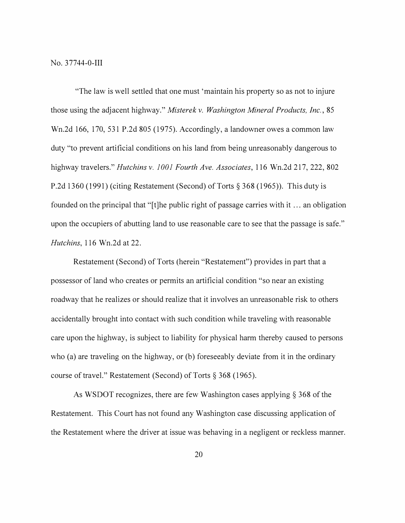"The law is well settled that one must 'maintain his property so as not to injure those using the adjacent highway." *Misterek v. Washington Mineral Products, Inc.,* 85 Wn.2d 166, 170, 531 P.2d 805 (1975). Accordingly, a landowner owes a common law duty "to prevent artificial conditions on his land from being unreasonably dangerous to highway travelers." *Hutchins v. 1001 Fourth Ave. Associates,* 116 Wn.2d 217, 222, 802 P.2d 1360 (1991) (citing Restatement (Second) of Torts§ 368 (1965)). This duty is founded on the principal that "[t]he public right of passage carries with it ... an obligation upon the occupiers of abutting land to use reasonable care to see that the passage is safe." *Hutchins,* 116 Wn.2d at 22.

Restatement (Second) of Torts (herein "Restatement") provides in part that a possessor of land who creates or permits an artificial condition "so near an existing roadway that he realizes or should realize that it involves an unreasonable risk to others accidentally brought into contact with such condition while traveling with reasonable care upon the highway, is subject to liability for physical harm thereby caused to persons who (a) are traveling on the highway, or (b) foreseeably deviate from it in the ordinary course of travel." Restatement (Second) of Torts§ 368 (1965).

As WSDOT recognizes, there are few Washington cases applying§ 368 of the Restatement. This Court has not found any Washington case discussing application of the Restatement where the driver at issue was behaving in a negligent or reckless manner.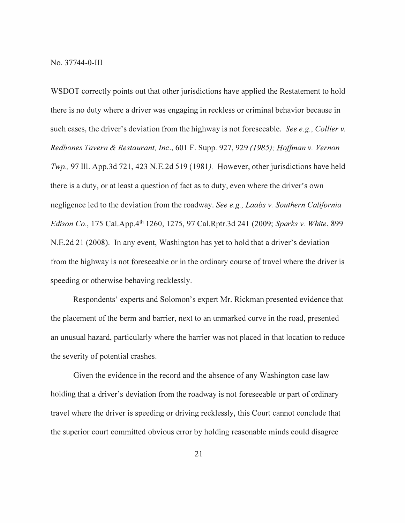WSDOT correctly points out that other jurisdictions have applied the Restatement to hold there is no duty where a driver was engaging in reckless or criminal behavior because in such cases, the driver's deviation from the highway is not foreseeable. *See e.g., Collier v. Redbones Tavern & Restaurant, Inc.,* 601 F. Supp. 927, 929 *(1985); Hoffman v. Vernon Twp.,* 97 Ill. App.3d 721,423 N.E.2d 519 (1981). However, other jurisdictions have held there is a duty, or at least a question of fact as to duty, even where the driver's own negligence led to the deviation from the roadway. *See e.g., Laabs v. Southern California Edison Co.,* 175 Cal.App.41h 1260, 1275, 97 Cal.Rptr.3d 241 (2009; *Sparks v. White,* 899 N.E.2d 21 (2008). In any event, Washington has yet to hold that a driver's deviation from the highway is not foreseeable or in the ordinary course of travel where the driver is speeding or otherwise behaving recklessly.

Respondents' experts and Solomon's expert Mr. Rickman presented evidence that the placement of the berm and barrier, next to an unmarked curve in the road, presented an unusual hazard, particularly where the barrier was not placed in that location to reduce the severity of potential crashes.

Given the evidence in the record and the absence of any Washington case law holding that a driver's deviation from the roadway is not foreseeable or part of ordinary travel where the driver is speeding or driving recklessly, this Court cannot conclude that the superior court committed obvious error by holding reasonable minds could disagree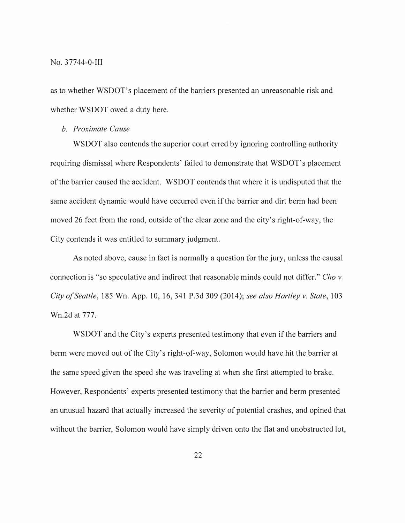No. 37744-0-111

as to whether WSDOT's placement of the barriers presented an unreasonable risk and whether WSDOT owed a duty here.

*b. Proximate Cause* 

WSDOT also contends the superior court erred by ignoring controlling authority requiring dismissal where Respondents' failed to demonstrate that WSDOT's placement of the barrier caused the accident. WSDOT contends that where it is undisputed that the same accident dynamic would have occurred even if the barrier and dirt berm had been moved 26 feet from the road, outside of the clear zone and the city's right-of-way, the City contends it was entitled to summary judgment.

As noted above, cause in fact is normally a question for the jury, unless the causal connection is "so speculative and indirect that reasonable minds could not differ." *Cho v. City of Seattle,* 185 Wn. App. 10, 16, 341 P.3d 309 (2014); *see also Hartley v. State,* 103 Wn.2d at 777.

WSDOT and the City's experts presented testimony that even if the barriers and berm were moved out of the City's right-of-way, Solomon would have hit the barrier at the same speed given the speed she was traveling at when she first attempted to brake. However, Respondents' experts presented testimony that the barrier and berm presented an unusual hazard that actually increased the severity of potential crashes, and opined that without the barrier, Solomon would have simply driven onto the flat and unobstructed lot,